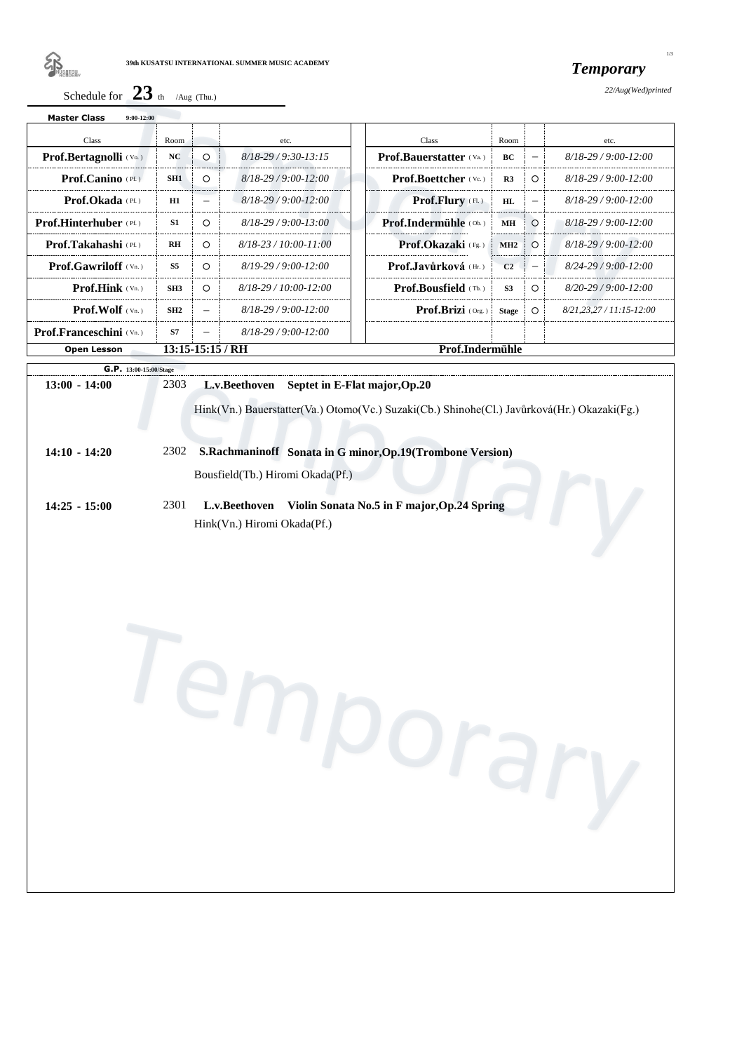

*Temporary*

*22/Aug(Wed)printed*

|--|

| <b>Master Class</b><br>$9:00-12:00$                         |                 |                          |                                         |  |                                 |                |                          |                              |  |
|-------------------------------------------------------------|-----------------|--------------------------|-----------------------------------------|--|---------------------------------|----------------|--------------------------|------------------------------|--|
| <b>Class</b>                                                | Room            |                          | etc.                                    |  | Class                           | Room           |                          | etc.                         |  |
| <b>Prof.Bertagnolli</b> (Vo.)                               | NC              | $\Omega$                 | $8/18 - 29/9:30 - 13:15$                |  | <b>Prof.Bauerstatter</b> (Va.)  | <b>BC</b>      |                          | $8/18 - 29/9:00 - 12:00$     |  |
| <b>Prof.Canino</b> $(PE)$                                   | SH1             | $\Omega$                 | $8/18 - 29/9:00 - 12:00$                |  | <b>Prof.Boettcher</b> (Vc.)     | R <sub>3</sub> | $\circ$                  | $8/18 - 29/9:00 - 12:00$     |  |
| <b>Prof.Okada</b> $(PE)$                                    | H1              | $\equiv$                 | $8/18 - 29/9:00 - 12:00$                |  | <b>Prof.Flury</b> (FL)          | HL             | $\overline{\phantom{0}}$ | $8/18 - 29/9:00 - 12:00$     |  |
| <b>Prof.Hinterhuber</b> (Pf.)                               | <b>S1</b>       | $\circ$                  | $8/18 - 29/9:00 - 13:00$                |  | <b>Prof.Indermiihle</b> $(Ob.)$ | MH             | $\circ$                  | $8/18 - 29/9:00 - 12:00$     |  |
| <b>Prof.Takahashi</b> (Pf.)                                 | R <sub>H</sub>  | $\Omega$                 | $8/18 - 23 / 10.00 - 11.00$             |  | <b>Prof.Okazaki</b> (Fg.)       | MH2            | $\Omega$                 | $8/18 - 29/9:00 - 12:00$     |  |
| <b>Prof.Gawriloff</b> $(Vn.)$                               | <b>S5</b>       | $\Omega$                 | $8/19-29/9:00-12:00$                    |  | <b>Prof.</b> Javůrková $(Hr)$   | C <sub>2</sub> | $\overline{\phantom{0}}$ | $8/24 - 29/9:00 - 12:00$     |  |
| <b>Prof.Hink</b> $(v_n)$                                    | SH <sub>3</sub> | $\Omega$                 | $8/18 - 29 / 10 \cdot 00 - 12 \cdot 00$ |  | <b>Prof.Bousfield</b> (Tb.)     | <b>S3</b>      | $\circ$                  | $8/20-29/9:00-12:00$         |  |
| <b>Prof. Wolf</b> $(\forall n.)$                            | SH2             |                          | $8/18 - 29/9:00 - 12:00$                |  | <b>Prof.Brizi</b> $(0_{rg.})$   | <b>Stage</b>   | $\circ$                  | $8/21, 23, 27/11: 15-12: 00$ |  |
| <b>Prof.Franceschini</b> $(Vn.)$                            | <b>S7</b>       | $\overline{\phantom{m}}$ | $8/18 - 29/9:00 - 12:00$                |  |                                 |                |                          |                              |  |
| $13:15-15:15$ / RH<br>Prof.Indermühle<br><b>Open Lesson</b> |                 |                          |                                         |  |                                 |                |                          |                              |  |

|                 | G.P. 13:00-15:00/Stage                                                                      |
|-----------------|---------------------------------------------------------------------------------------------|
| $13:00 - 14:00$ | 2303<br>L.v.Beethoven<br>Septet in E-Flat major, Op. 20                                     |
|                 | Hink(Vn.) Bauerstatter(Va.) Otomo(Vc.) Suzaki(Cb.) Shinohe(Cl.) Javůrková(Hr.) Okazaki(Fg.) |
| $14:10 - 14:20$ | S.Rachmaninoff Sonata in G minor, Op.19 (Trombone Version)<br>2302                          |
|                 | Bousfield(Tb.) Hiromi Okada(Pf.)                                                            |
| $14:25 - 15:00$ | 2301<br>Violin Sonata No.5 in F major, Op.24 Spring<br>L.v.Beethoven                        |
|                 | Hink(Vn.) Hiromi Okada(Pf.)                                                                 |
|                 |                                                                                             |

1/3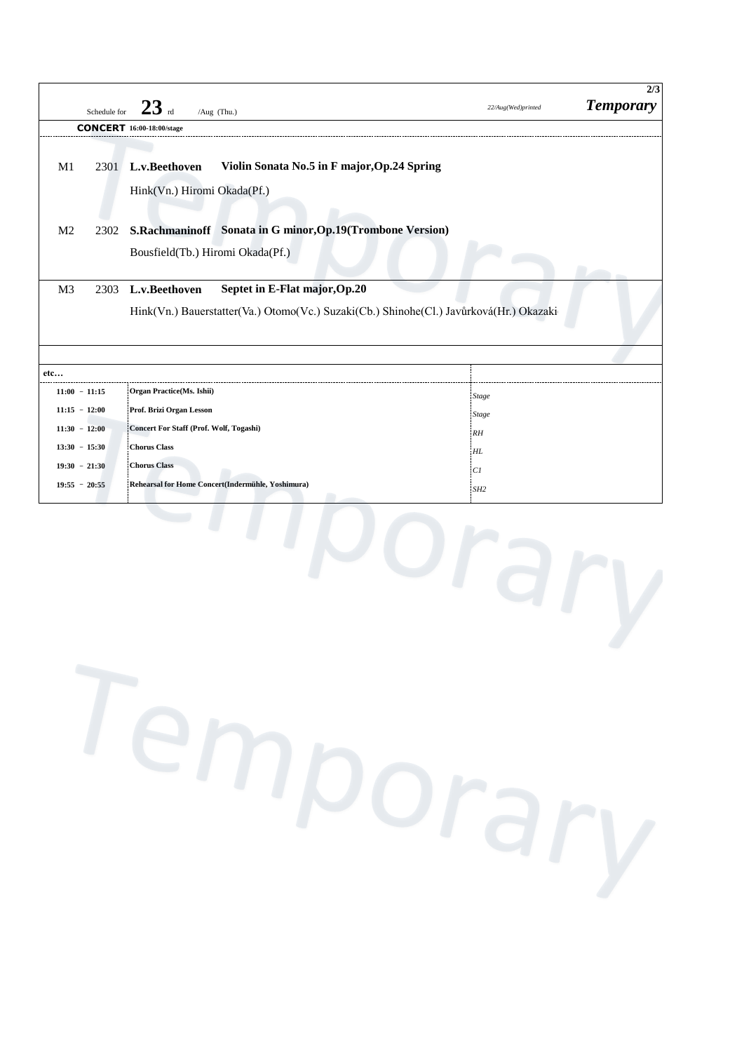| <b>CONCERT</b> 16:00-18:00/stage<br>M1<br>2301<br>M <sub>2</sub><br>2302<br>M <sub>3</sub><br>2303<br>etc | L.v.Beethoven<br>Violin Sonata No.5 in F major, Op.24 Spring<br>Hink(Vn.) Hiromi Okada(Pf.)<br>S.Rachmaninoff Sonata in G minor, Op.19(Trombone Version)<br>Bousfield(Tb.) Hiromi Okada(Pf.)<br>Septet in E-Flat major, Op.20<br>L.v.Beethoven<br>Hink(Vn.) Bauerstatter(Va.) Otomo(Vc.) Suzaki(Cb.) Shinohe(Cl.) Javůrková(Hr.) Okazaki |                 |
|-----------------------------------------------------------------------------------------------------------|------------------------------------------------------------------------------------------------------------------------------------------------------------------------------------------------------------------------------------------------------------------------------------------------------------------------------------------|-----------------|
|                                                                                                           |                                                                                                                                                                                                                                                                                                                                          |                 |
|                                                                                                           |                                                                                                                                                                                                                                                                                                                                          |                 |
|                                                                                                           |                                                                                                                                                                                                                                                                                                                                          |                 |
|                                                                                                           |                                                                                                                                                                                                                                                                                                                                          |                 |
|                                                                                                           |                                                                                                                                                                                                                                                                                                                                          |                 |
|                                                                                                           |                                                                                                                                                                                                                                                                                                                                          |                 |
|                                                                                                           |                                                                                                                                                                                                                                                                                                                                          |                 |
|                                                                                                           |                                                                                                                                                                                                                                                                                                                                          |                 |
|                                                                                                           |                                                                                                                                                                                                                                                                                                                                          |                 |
|                                                                                                           |                                                                                                                                                                                                                                                                                                                                          |                 |
|                                                                                                           |                                                                                                                                                                                                                                                                                                                                          |                 |
|                                                                                                           |                                                                                                                                                                                                                                                                                                                                          |                 |
|                                                                                                           |                                                                                                                                                                                                                                                                                                                                          |                 |
| $11:00 - 11:15$                                                                                           | Organ Practice(Ms. Ishii)                                                                                                                                                                                                                                                                                                                | Stage           |
| $11:15 - 12:00$                                                                                           | Prof. Brizi Organ Lesson                                                                                                                                                                                                                                                                                                                 | <b>Stage</b>    |
| $11:30 - 12:00$                                                                                           | Concert For Staff (Prof. Wolf, Togashi)                                                                                                                                                                                                                                                                                                  | RH              |
| $13:30 - 15:30$                                                                                           | <b>Chorus Class</b>                                                                                                                                                                                                                                                                                                                      | HL              |
| $19:30 - 21:30$                                                                                           | <b>Chorus Class</b>                                                                                                                                                                                                                                                                                                                      | CI              |
| $19:55 - 20:55$                                                                                           | Rehearsal for Home Concert(Indermühle, Yoshimura)                                                                                                                                                                                                                                                                                        | SH <sub>2</sub> |
|                                                                                                           |                                                                                                                                                                                                                                                                                                                                          |                 |
|                                                                                                           | Temporary                                                                                                                                                                                                                                                                                                                                |                 |